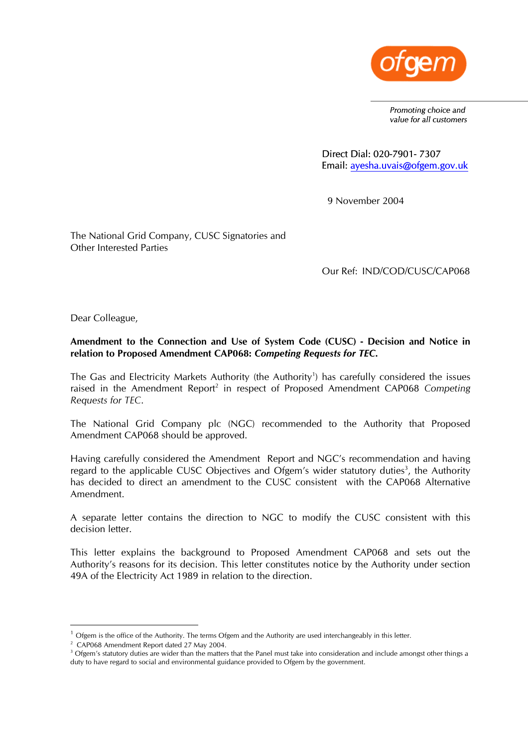

*Promoting choice and value for all customers* 

Direct Dial: 020-7901- 7307 Email: [ayesha.uvais@ofgem.gov.uk](mailto:ayesha.uvais@ofgem.gov.uk)

9 November 2004

The National Grid Company, CUSC Signatories and Other Interested Parties

Our Ref: IND/COD/CUSC/CAP068

Dear Colleague,

## **Amendment to the Connection and Use of System Code (CUSC) - Decision and Notice in relation to Proposed Amendment CAP068:** *Competing Requests for TEC***.**

The Gas and Electricity Markets Authority (the Authority<sup>[1](#page-0-0)</sup>) has carefully considered the issues raised in the Amendment Report<sup>[2](#page-0-1)</sup> in respect of Proposed Amendment CAP068 Competing *Requests for TEC*.

The National Grid Company plc (NGC) recommended to the Authority that Proposed Amendment CAP068 should be approved.

Having carefully considered the Amendment Report and NGC's recommendation and having regard to the applicable CUSC Objectives and Ofgem's wider statutory duties<sup>3</sup>[,](#page-0-2) the Authority has decided to direct an amendment to the CUSC consistent with the CAP068 Alternative Amendment.

A separate letter contains the direction to NGC to modify the CUSC consistent with this decision letter.

This letter explains the background to Proposed Amendment CAP068 and sets out the Authority's reasons for its decision. This letter constitutes notice by the Authority under section 49A of the Electricity Act 1989 in relation to the direction.

<span id="page-0-0"></span> $1$  Ofgem is the office of the Authority. The terms Ofgem and the Authority are used interchangeably in this letter.

<span id="page-0-1"></span><sup>&</sup>lt;sup>2</sup> CAP068 Amendment Report dated 27 May 2004.<br><sup>3</sup> Ofgem's statutory duties are wider than the matters

<span id="page-0-2"></span> $3$  Ofgem's statutory duties are wider than the matters that the Panel must take into consideration and include amongst other things a duty to have regard to social and environmental guidance provided to Ofgem by the government.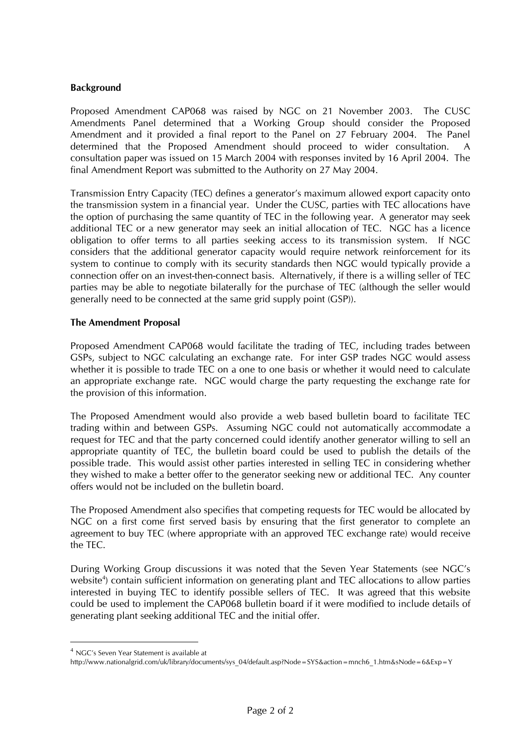## **Background**

Proposed Amendment CAP068 was raised by NGC on 21 November 2003. The CUSC Amendments Panel determined that a Working Group should consider the Proposed Amendment and it provided a final report to the Panel on 27 February 2004. The Panel determined that the Proposed Amendment should proceed to wider consultation. A consultation paper was issued on 15 March 2004 with responses invited by 16 April 2004. The final Amendment Report was submitted to the Authority on 27 May 2004.

Transmission Entry Capacity (TEC) defines a generator's maximum allowed export capacity onto the transmission system in a financial year. Under the CUSC, parties with TEC allocations have the option of purchasing the same quantity of TEC in the following year. A generator may seek additional TEC or a new generator may seek an initial allocation of TEC. NGC has a licence obligation to offer terms to all parties seeking access to its transmission system. If NGC considers that the additional generator capacity would require network reinforcement for its system to continue to comply with its security standards then NGC would typically provide a connection offer on an invest-then-connect basis. Alternatively, if there is a willing seller of TEC parties may be able to negotiate bilaterally for the purchase of TEC (although the seller would generally need to be connected at the same grid supply point (GSP)).

#### **The Amendment Proposal**

Proposed Amendment CAP068 would facilitate the trading of TEC, including trades between GSPs, subject to NGC calculating an exchange rate. For inter GSP trades NGC would assess whether it is possible to trade TEC on a one to one basis or whether it would need to calculate an appropriate exchange rate. NGC would charge the party requesting the exchange rate for the provision of this information.

The Proposed Amendment would also provide a web based bulletin board to facilitate TEC trading within and between GSPs. Assuming NGC could not automatically accommodate a request for TEC and that the party concerned could identify another generator willing to sell an appropriate quantity of TEC, the bulletin board could be used to publish the details of the possible trade. This would assist other parties interested in selling TEC in considering whether they wished to make a better offer to the generator seeking new or additional TEC. Any counter offers would not be included on the bulletin board.

The Proposed Amendment also specifies that competing requests for TEC would be allocated by NGC on a first come first served basis by ensuring that the first generator to complete an agreement to buy TEC (where appropriate with an approved TEC exchange rate) would receive the TEC.

During Working Group discussions it was noted that the Seven Year Statements (see NGC's website<sup>[4](#page-1-0)</sup>) contain sufficient information on generating plant and TEC allocations to allow parties interested in buying TEC to identify possible sellers of TEC. It was agreed that this website could be used to implement the CAP068 bulletin board if it were modified to include details of generating plant seeking additional TEC and the initial offer.

<span id="page-1-0"></span><sup>&</sup>lt;sup>4</sup> NGC's Seven Year Statement is available at

http://www.nationalgrid.com/uk/library/documents/sys\_04/default.asp?Node=SYS&action=mnch6\_1.htm&sNode=6&Exp=Y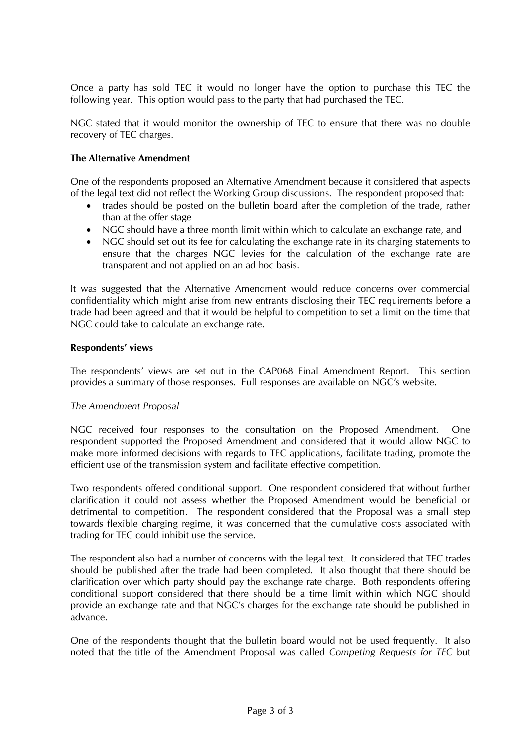Once a party has sold TEC it would no longer have the option to purchase this TEC the following year. This option would pass to the party that had purchased the TEC.

NGC stated that it would monitor the ownership of TEC to ensure that there was no double recovery of TEC charges.

### **The Alternative Amendment**

One of the respondents proposed an Alternative Amendment because it considered that aspects of the legal text did not reflect the Working Group discussions. The respondent proposed that:

- trades should be posted on the bulletin board after the completion of the trade, rather than at the offer stage
- NGC should have a three month limit within which to calculate an exchange rate, and
- NGC should set out its fee for calculating the exchange rate in its charging statements to ensure that the charges NGC levies for the calculation of the exchange rate are transparent and not applied on an ad hoc basis.

It was suggested that the Alternative Amendment would reduce concerns over commercial confidentiality which might arise from new entrants disclosing their TEC requirements before a trade had been agreed and that it would be helpful to competition to set a limit on the time that NGC could take to calculate an exchange rate.

#### **Respondents' views**

The respondents' views are set out in the CAP068 Final Amendment Report. This section provides a summary of those responses. Full responses are available on NGC's website.

## *The Amendment Proposal*

NGC received four responses to the consultation on the Proposed Amendment. One respondent supported the Proposed Amendment and considered that it would allow NGC to make more informed decisions with regards to TEC applications, facilitate trading, promote the efficient use of the transmission system and facilitate effective competition.

Two respondents offered conditional support. One respondent considered that without further clarification it could not assess whether the Proposed Amendment would be beneficial or detrimental to competition. The respondent considered that the Proposal was a small step towards flexible charging regime, it was concerned that the cumulative costs associated with trading for TEC could inhibit use the service.

The respondent also had a number of concerns with the legal text. It considered that TEC trades should be published after the trade had been completed. It also thought that there should be clarification over which party should pay the exchange rate charge. Both respondents offering conditional support considered that there should be a time limit within which NGC should provide an exchange rate and that NGC's charges for the exchange rate should be published in advance.

One of the respondents thought that the bulletin board would not be used frequently. It also noted that the title of the Amendment Proposal was called *Competing Requests for TEC* but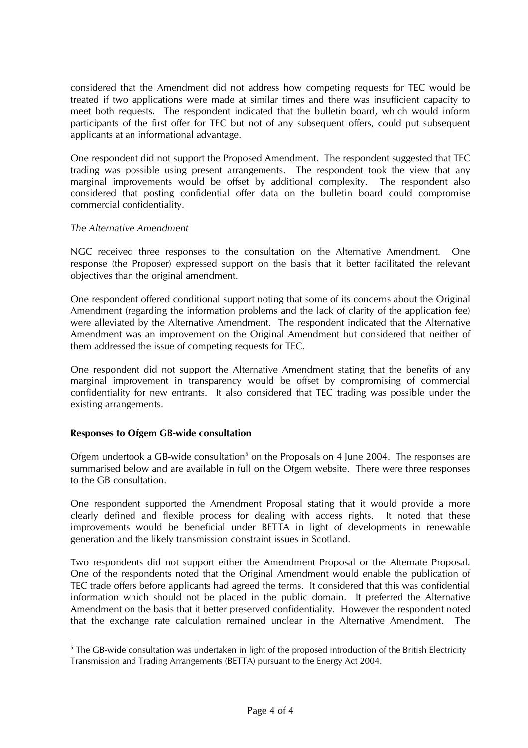considered that the Amendment did not address how competing requests for TEC would be treated if two applications were made at similar times and there was insufficient capacity to meet both requests. The respondent indicated that the bulletin board, which would inform participants of the first offer for TEC but not of any subsequent offers, could put subsequent applicants at an informational advantage.

One respondent did not support the Proposed Amendment. The respondent suggested that TEC trading was possible using present arrangements. The respondent took the view that any marginal improvements would be offset by additional complexity. The respondent also considered that posting confidential offer data on the bulletin board could compromise commercial confidentiality.

#### *The Alternative Amendment*

NGC received three responses to the consultation on the Alternative Amendment. One response (the Proposer) expressed support on the basis that it better facilitated the relevant objectives than the original amendment.

One respondent offered conditional support noting that some of its concerns about the Original Amendment (regarding the information problems and the lack of clarity of the application fee) were alleviated by the Alternative Amendment. The respondent indicated that the Alternative Amendment was an improvement on the Original Amendment but considered that neither of them addressed the issue of competing requests for TEC.

One respondent did not support the Alternative Amendment stating that the benefits of any marginal improvement in transparency would be offset by compromising of commercial confidentiality for new entrants. It also considered that TEC trading was possible under the existing arrangements.

## **Responses to Ofgem GB-wide consultation**

Ofgem undertook a GB-wide consultation<sup>[5](#page-3-0)</sup> on the Proposals on 4 June 2004. The responses are summarised below and are available in full on the Ofgem website. There were three responses to the GB consultation.

One respondent supported the Amendment Proposal stating that it would provide a more clearly defined and flexible process for dealing with access rights. It noted that these improvements would be beneficial under BETTA in light of developments in renewable generation and the likely transmission constraint issues in Scotland.

Two respondents did not support either the Amendment Proposal or the Alternate Proposal. One of the respondents noted that the Original Amendment would enable the publication of TEC trade offers before applicants had agreed the terms. It considered that this was confidential information which should not be placed in the public domain. It preferred the Alternative Amendment on the basis that it better preserved confidentiality. However the respondent noted that the exchange rate calculation remained unclear in the Alternative Amendment.

<span id="page-3-0"></span> <sup>5</sup> <sup>5</sup> The GB-wide consultation was undertaken in light of the proposed introduction of the British Electricity Transmission and Trading Arrangements (BETTA) pursuant to the Energy Act 2004.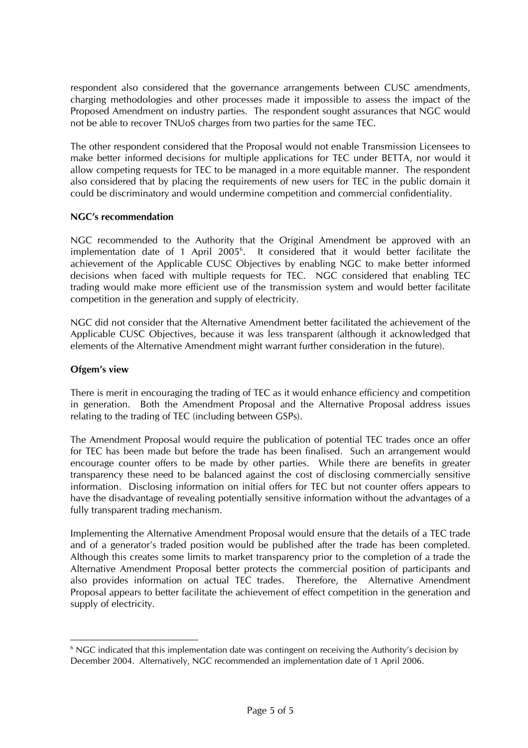respondent also considered that the governance arrangements between CUSC amendments, charging methodologies and other processes made it impossible to assess the impact of the Proposed Amendment on industry parties. The respondent sought assurances that NGC would not be able to recover TNUoS charges from two parties for the same TEC.

The other respondent considered that the Proposal would not enable Transmission Licensees to make better informed decisions for multiple applications for TEC under BETTA, nor would it allow competing requests for TEC to be managed in a more equitable manner. The respondent also considered that by placing the requirements of new users for TEC in the public domain it could be discriminatory and would undermine competition and commercial confidentiality.

# **NGC's recommendation**

NGC recommended to the Authority that the Original Amendment be approved with an implementation date of 1 April 2005<sup>[6](#page-4-0)</sup>. It considered that it would better facilitate the achievement of the Applicable CUSC Objectives by enabling NGC to make better informed decisions when faced with multiple requests for TEC. NGC considered that enabling TEC trading would make more efficient use of the transmission system and would better facilitate competition in the generation and supply of electricity.

NGC did not consider that the Alternative Amendment better facilitated the achievement of the Applicable CUSC Objectives, because it was less transparent (although it acknowledged that elements of the Alternative Amendment might warrant further consideration in the future).

## **Ofgem's view**

There is merit in encouraging the trading of TEC as it would enhance efficiency and competition in generation. Both the Amendment Proposal and the Alternative Proposal address issues relating to the trading of TEC (including between GSPs).

The Amendment Proposal would require the publication of potential TEC trades once an offer for TEC has been made but before the trade has been finalised. Such an arrangement would encourage counter offers to be made by other parties. While there are benefits in greater transparency these need to be balanced against the cost of disclosing commercially sensitive information. Disclosing information on initial offers for TEC but not counter offers appears to have the disadvantage of revealing potentially sensitive information without the advantages of a fully transparent trading mechanism.

Implementing the Alternative Amendment Proposal would ensure that the details of a TEC trade and of a generator's traded position would be published after the trade has been completed. Although this creates some limits to market transparency prior to the completion of a trade the Alternative Amendment Proposal better protects the commercial position of participants and also provides information on actual TEC trades. Therefore, the Alternative Amendment Proposal appears to better facilitate the achievement of effect competition in the generation and supply of electricity.

<span id="page-4-0"></span> $\frac{1}{6}$ <sup>6</sup> NGC indicated that this implementation date was contingent on receiving the Authority's decision by December 2004. Alternatively, NGC recommended an implementation date of 1 April 2006.